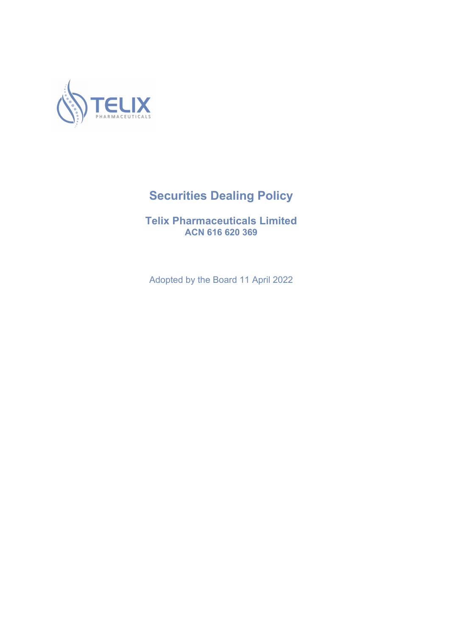

# **Securities Dealing Policy**

**Telix Pharmaceuticals Limited ACN 616 620 369**

Adopted by the Board 11 April 2022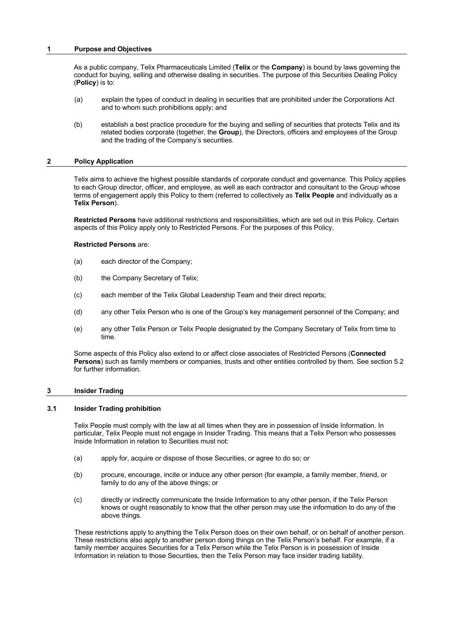# **1 Purpose and Objectives**

As a public company, Telix Pharmaceuticals Limited (**Telix** or the **Company**) is bound by laws governing the conduct for buying, selling and otherwise dealing in securities. The purpose of this Securities Dealing Policy (**Policy**) is to:

- (a) explain the types of conduct in dealing in securities that are prohibited under the Corporations Act and to whom such prohibitions apply; and
- (b) establish a best practice procedure for the buying and selling of securities that protects Telix and its related bodies corporate (together, the **Group**), the Directors, officers and employees of the Group and the trading of the Company's securities.

# **2 Policy Application**

Telix aims to achieve the highest possible standards of corporate conduct and governance. This Policy applies to each Group director, officer, and employee, as well as each contractor and consultant to the Group whose terms of engagement apply this Policy to them (referred to collectively as **Telix People** and individually as a **Telix Person**).

**Restricted Persons** have additional restrictions and responsibilities, which are set out in this Policy. Certain aspects of this Policy apply only to Restricted Persons. For the purposes of this Policy,

# **Restricted Persons** are:

- (a) each director of the Company;
- (b) the Company Secretary of Telix;
- (c) each member of the Telix Global Leadership Team and their direct reports;
- (d) any other Telix Person who is one of the Group's key management personnel of the Company; and
- (e) any other Telix Person or Telix People designated by the Company Secretary of Telix from time to time.

Some aspects of this Policy also extend to or affect close associates of Restricted Persons (**Connected Persons**) such as family members or companies, trusts and other entities controlled by them. See section 5.2 for further information.

# **3 Insider Trading**

# **3.1 Insider Trading prohibition**

Telix People must comply with the law at all times when they are in possession of Inside Information. In particular, Telix People must not engage in Insider Trading. This means that a Telix Person who possesses Inside Information in relation to Securities must not:

- (a) apply for, acquire or dispose of those Securities, or agree to do so; or
- (b) procure, encourage, incite or induce any other person (for example, a family member, friend, or family to do any of the above things; or
- (c) directly or indirectly communicate the Inside Information to any other person, if the Telix Person knows or ought reasonably to know that the other person may use the information to do any of the above things.

These restrictions apply to anything the Telix Person does on their own behalf, or on behalf of another person. These restrictions also apply to another person doing things on the Telix Person's behalf. For example, if a family member acquires Securities for a Telix Person while the Telix Person is in possession of Inside Information in relation to those Securities, then the Telix Person may face insider trading liability.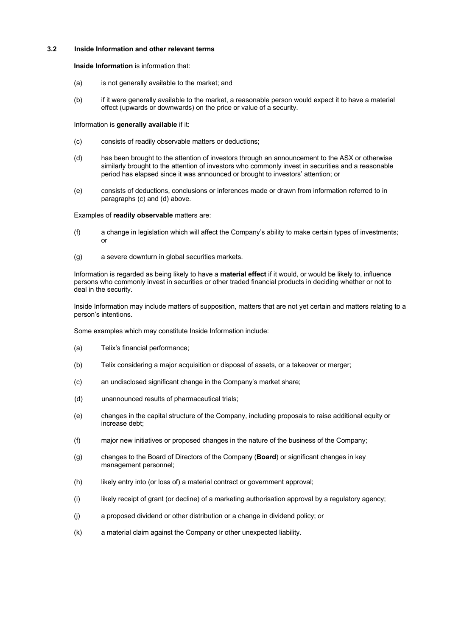# **3.2 Inside Information and other relevant terms**

**Inside Information** is information that:

- (a) is not generally available to the market; and
- (b) if it were generally available to the market, a reasonable person would expect it to have a material effect (upwards or downwards) on the price or value of a security.

#### Information is **generally available** if it:

- (c) consists of readily observable matters or deductions;
- (d) has been brought to the attention of investors through an announcement to the ASX or otherwise similarly brought to the attention of investors who commonly invest in securities and a reasonable period has elapsed since it was announced or brought to investors' attention; or
- (e) consists of deductions, conclusions or inferences made or drawn from information referred to in paragraphs (c) and (d) above.

### Examples of **readily observable** matters are:

- (f) a change in legislation which will affect the Company's ability to make certain types of investments; or
- (g) a severe downturn in global securities markets.

Information is regarded as being likely to have a **material effect** if it would, or would be likely to, influence persons who commonly invest in securities or other traded financial products in deciding whether or not to deal in the security.

Inside Information may include matters of supposition, matters that are not yet certain and matters relating to a person's intentions.

Some examples which may constitute Inside Information include:

- (a) Telix's financial performance;
- (b) Telix considering a major acquisition or disposal of assets, or a takeover or merger;
- (c) an undisclosed significant change in the Company's market share;
- (d) unannounced results of pharmaceutical trials;
- (e) changes in the capital structure of the Company, including proposals to raise additional equity or increase debt;
- (f) major new initiatives or proposed changes in the nature of the business of the Company;
- (g) changes to the Board of Directors of the Company (**Board**) or significant changes in key management personnel;
- (h) likely entry into (or loss of) a material contract or government approval;
- (i) likely receipt of grant (or decline) of a marketing authorisation approval by a regulatory agency;
- (j) a proposed dividend or other distribution or a change in dividend policy; or
- (k) a material claim against the Company or other unexpected liability.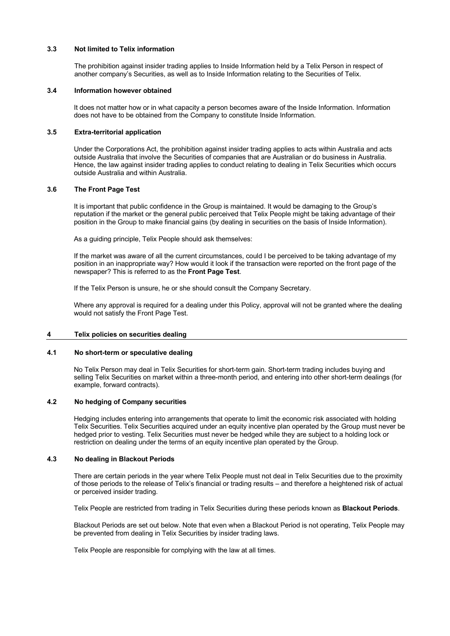# **3.3 Not limited to Telix information**

The prohibition against insider trading applies to Inside Information held by a Telix Person in respect of another company's Securities, as well as to Inside Information relating to the Securities of Telix.

#### **3.4 Information however obtained**

It does not matter how or in what capacity a person becomes aware of the Inside Information. Information does not have to be obtained from the Company to constitute Inside Information.

# **3.5 Extra-territorial application**

Under the Corporations Act, the prohibition against insider trading applies to acts within Australia and acts outside Australia that involve the Securities of companies that are Australian or do business in Australia. Hence, the law against insider trading applies to conduct relating to dealing in Telix Securities which occurs outside Australia and within Australia.

# **3.6 The Front Page Test**

It is important that public confidence in the Group is maintained. It would be damaging to the Group's reputation if the market or the general public perceived that Telix People might be taking advantage of their position in the Group to make financial gains (by dealing in securities on the basis of Inside Information).

As a guiding principle, Telix People should ask themselves:

If the market was aware of all the current circumstances, could I be perceived to be taking advantage of my position in an inappropriate way? How would it look if the transaction were reported on the front page of the newspaper? This is referred to as the **Front Page Test**.

If the Telix Person is unsure, he or she should consult the Company Secretary.

Where any approval is required for a dealing under this Policy, approval will not be granted where the dealing would not satisfy the Front Page Test.

#### **4 Telix policies on securities dealing**

## **4.1 No short-term or speculative dealing**

No Telix Person may deal in Telix Securities for short-term gain. Short-term trading includes buying and selling Telix Securities on market within a three-month period, and entering into other short-term dealings (for example, forward contracts).

# **4.2 No hedging of Company securities**

Hedging includes entering into arrangements that operate to limit the economic risk associated with holding Telix Securities. Telix Securities acquired under an equity incentive plan operated by the Group must never be hedged prior to vesting. Telix Securities must never be hedged while they are subject to a holding lock or restriction on dealing under the terms of an equity incentive plan operated by the Group.

#### **4.3 No dealing in Blackout Periods**

There are certain periods in the year where Telix People must not deal in Telix Securities due to the proximity of those periods to the release of Telix's financial or trading results – and therefore a heightened risk of actual or perceived insider trading.

Telix People are restricted from trading in Telix Securities during these periods known as **Blackout Periods**.

Blackout Periods are set out below. Note that even when a Blackout Period is not operating, Telix People may be prevented from dealing in Telix Securities by insider trading laws.

Telix People are responsible for complying with the law at all times.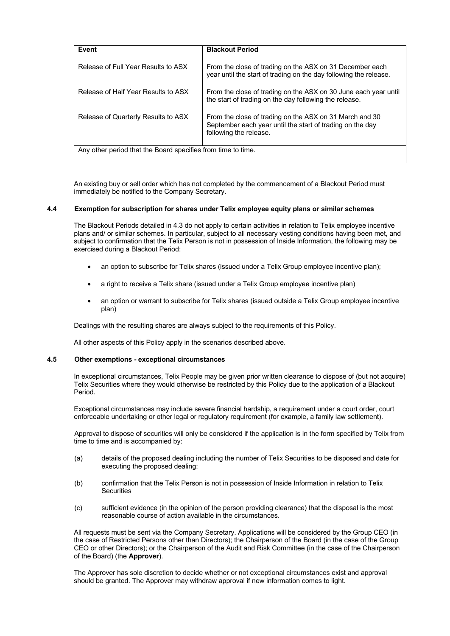| Event                                                        | <b>Blackout Period</b>                                                                                                                         |
|--------------------------------------------------------------|------------------------------------------------------------------------------------------------------------------------------------------------|
| Release of Full Year Results to ASX                          | From the close of trading on the ASX on 31 December each<br>year until the start of trading on the day following the release.                  |
| Release of Half Year Results to ASX                          | From the close of trading on the ASX on 30 June each year until<br>the start of trading on the day following the release.                      |
| Release of Quarterly Results to ASX                          | From the close of trading on the ASX on 31 March and 30<br>September each year until the start of trading on the day<br>following the release. |
| Any other period that the Board specifies from time to time. |                                                                                                                                                |

An existing buy or sell order which has not completed by the commencement of a Blackout Period must immediately be notified to the Company Secretary.

# **4.4 Exemption for subscription for shares under Telix employee equity plans or similar schemes**

The Blackout Periods detailed in 4.3 do not apply to certain activities in relation to Telix employee incentive plans and/ or similar schemes. In particular, subject to all necessary vesting conditions having been met, and subject to confirmation that the Telix Person is not in possession of Inside Information, the following may be exercised during a Blackout Period:

- an option to subscribe for Telix shares (issued under a Telix Group employee incentive plan);
- a right to receive a Telix share (issued under a Telix Group employee incentive plan)
- an option or warrant to subscribe for Telix shares (issued outside a Telix Group employee incentive plan)

Dealings with the resulting shares are always subject to the requirements of this Policy.

All other aspects of this Policy apply in the scenarios described above.

# **4.5 Other exemptions - exceptional circumstances**

In exceptional circumstances, Telix People may be given prior written clearance to dispose of (but not acquire) Telix Securities where they would otherwise be restricted by this Policy due to the application of a Blackout Period.

Exceptional circumstances may include severe financial hardship, a requirement under a court order, court enforceable undertaking or other legal or regulatory requirement (for example, a family law settlement).

Approval to dispose of securities will only be considered if the application is in the form specified by Telix from time to time and is accompanied by:

- (a) details of the proposed dealing including the number of Telix Securities to be disposed and date for executing the proposed dealing:
- (b) confirmation that the Telix Person is not in possession of Inside Information in relation to Telix **Securities**
- (c) sufficient evidence (in the opinion of the person providing clearance) that the disposal is the most reasonable course of action available in the circumstances.

All requests must be sent via the Company Secretary. Applications will be considered by the Group CEO (in the case of Restricted Persons other than Directors); the Chairperson of the Board (in the case of the Group CEO or other Directors); or the Chairperson of the Audit and Risk Committee (in the case of the Chairperson of the Board) (the **Approver**).

The Approver has sole discretion to decide whether or not exceptional circumstances exist and approval should be granted. The Approver may withdraw approval if new information comes to light.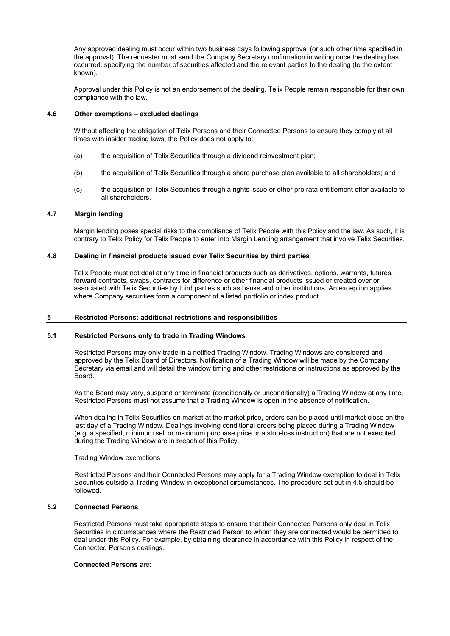Any approved dealing must occur within two business days following approval (or such other time specified in the approval). The requester must send the Company Secretary confirmation in writing once the dealing has occurred, specifying the number of securities affected and the relevant parties to the dealing (to the extent known).

Approval under this Policy is not an endorsement of the dealing. Telix People remain responsible for their own compliance with the law.

#### **4.6 Other exemptions – excluded dealings**

Without affecting the obligation of Telix Persons and their Connected Persons to ensure they comply at all times with insider trading laws, the Policy does not apply to:

- (a) the acquisition of Telix Securities through a dividend reinvestment plan;
- (b) the acquisition of Telix Securities through a share purchase plan available to all shareholders; and
- (c) the acquisition of Telix Securities through a rights issue or other pro rata entitlement offer available to all shareholders.

#### **4.7 Margin lending**

Margin lending poses special risks to the compliance of Telix People with this Policy and the law. As such, it is contrary to Telix Policy for Telix People to enter into Margin Lending arrangement that involve Telix Securities.

# **4.8 Dealing in financial products issued over Telix Securities by third parties**

Telix People must not deal at any time in financial products such as derivatives, options, warrants, futures, forward contracts, swaps, contracts for difference or other financial products issued or created over or associated with Telix Securities by third parties such as banks and other institutions. An exception applies where Company securities form a component of a listed portfolio or index product.

#### **5 Restricted Persons: additional restrictions and responsibilities**

# **5.1 Restricted Persons only to trade in Trading Windows**

Restricted Persons may only trade in a notified Trading Window. Trading Windows are considered and approved by the Telix Board of Directors. Notification of a Trading Window will be made by the Company Secretary via email and will detail the window timing and other restrictions or instructions as approved by the Board.

As the Board may vary, suspend or terminate (conditionally or unconditionally) a Trading Window at any time, Restricted Persons must not assume that a Trading Window is open in the absence of notification.

When dealing in Telix Securities on market at the market price, orders can be placed until market close on the last day of a Trading Window. Dealings involving conditional orders being placed during a Trading Window (e.g. a specified, minimum sell or maximum purchase price or a stop-loss instruction) that are not executed during the Trading Window are in breach of this Policy.

# Trading Window exemptions

Restricted Persons and their Connected Persons may apply for a Trading Window exemption to deal in Telix Securities outside a Trading Window in exceptional circumstances. The procedure set out in 4.5 should be followed.

# **5.2 Connected Persons**

Restricted Persons must take appropriate steps to ensure that their Connected Persons only deal in Telix Securities in circumstances where the Restricted Person to whom they are connected would be permitted to deal under this Policy. For example, by obtaining clearance in accordance with this Policy in respect of the Connected Person's dealings.

#### **Connected Persons** are: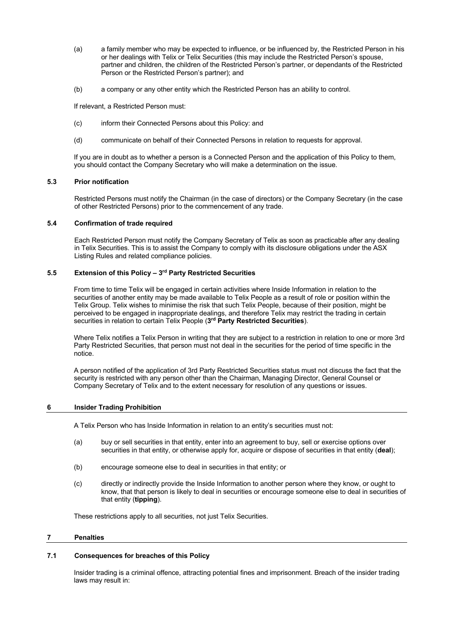- (a) a family member who may be expected to influence, or be influenced by, the Restricted Person in his or her dealings with Telix or Telix Securities (this may include the Restricted Person's spouse, partner and children, the children of the Restricted Person's partner, or dependants of the Restricted Person or the Restricted Person's partner); and
- (b) a company or any other entity which the Restricted Person has an ability to control.

If relevant, a Restricted Person must:

- (c) inform their Connected Persons about this Policy: and
- (d) communicate on behalf of their Connected Persons in relation to requests for approval.

If you are in doubt as to whether a person is a Connected Person and the application of this Policy to them, you should contact the Company Secretary who will make a determination on the issue.

## **5.3 Prior notification**

Restricted Persons must notify the Chairman (in the case of directors) or the Company Secretary (in the case of other Restricted Persons) prior to the commencement of any trade.

# **5.4 Confirmation of trade required**

Each Restricted Person must notify the Company Secretary of Telix as soon as practicable after any dealing in Telix Securities. This is to assist the Company to comply with its disclosure obligations under the ASX Listing Rules and related compliance policies.

# **5.5 Extension of this Policy – 3rd Party Restricted Securities**

From time to time Telix will be engaged in certain activities where Inside Information in relation to the securities of another entity may be made available to Telix People as a result of role or position within the Telix Group. Telix wishes to minimise the risk that such Telix People, because of their position, might be perceived to be engaged in inappropriate dealings, and therefore Telix may restrict the trading in certain securities in relation to certain Telix People (**3rd Party Restricted Securities**).

Where Telix notifies a Telix Person in writing that they are subject to a restriction in relation to one or more 3rd Party Restricted Securities, that person must not deal in the securities for the period of time specific in the notice.

A person notified of the application of 3rd Party Restricted Securities status must not discuss the fact that the security is restricted with any person other than the Chairman, Managing Director, General Counsel or Company Secretary of Telix and to the extent necessary for resolution of any questions or issues.

# **6 Insider Trading Prohibition**

A Telix Person who has Inside Information in relation to an entity's securities must not:

- (a) buy or sell securities in that entity, enter into an agreement to buy, sell or exercise options over securities in that entity, or otherwise apply for, acquire or dispose of securities in that entity (**deal**);
- (b) encourage someone else to deal in securities in that entity; or
- (c) directly or indirectly provide the Inside Information to another person where they know, or ought to know, that that person is likely to deal in securities or encourage someone else to deal in securities of that entity (**tipping**).

These restrictions apply to all securities, not just Telix Securities.

#### **7 Penalties**

#### **7.1 Consequences for breaches of this Policy**

Insider trading is a criminal offence, attracting potential fines and imprisonment. Breach of the insider trading laws may result in: